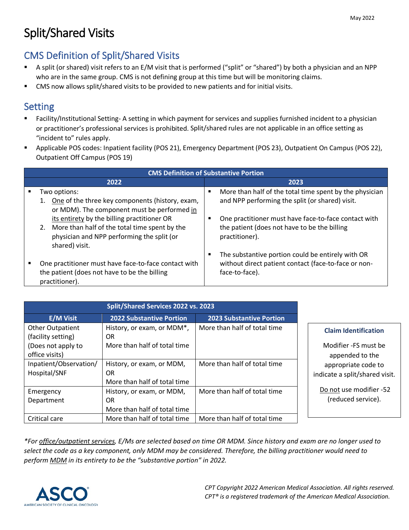# Split/Shared Visits

# CMS Definition of Split/Shared Visits

- A split (or shared) visit refers to an E/M visit that is performed ("split" or "shared") by both a physician and an NPP who are in the same group. CMS is not defining group at this time but will be monitoring claims.
- CMS now allows split/shared visits to be provided to new patients and for initial visits.

# Setting

- Facility/Institutional Setting- A setting in which payment for services and supplies furnished incident to a physician or practitioner's professional services is prohibited. Split/shared rules are not applicable in an office setting as "incident to" rules apply.
- Applicable POS codes: Inpatient facility (POS 21), Emergency Department (POS 23), Outpatient On Campus (POS 22), Outpatient Off Campus (POS 19)

| <b>CMS Definition of Substantive Portion</b> |                                                                                                                                                                                                 |                                                                                                                             |  |  |  |  |  |
|----------------------------------------------|-------------------------------------------------------------------------------------------------------------------------------------------------------------------------------------------------|-----------------------------------------------------------------------------------------------------------------------------|--|--|--|--|--|
|                                              | 2022                                                                                                                                                                                            | 2023                                                                                                                        |  |  |  |  |  |
|                                              | Two options:<br>One of the three key components (history, exam,<br>1.                                                                                                                           | More than half of the total time spent by the physician<br>٠<br>and NPP performing the split (or shared) visit.             |  |  |  |  |  |
|                                              | or MDM). The component must be performed in<br>its entirety by the billing practitioner OR<br>More than half of the total time spent by the<br>2.<br>physician and NPP performing the split (or | One practitioner must have face-to-face contact with<br>the patient (does not have to be the billing<br>practitioner).      |  |  |  |  |  |
|                                              | shared) visit.<br>One practitioner must have face-to-face contact with<br>the patient (does not have to be the billing<br>practitioner).                                                        | The substantive portion could be entirely with OR<br>without direct patient contact (face-to-face or non-<br>face-to-face). |  |  |  |  |  |

| E/M Visit               | 2022 Substantive Portion     | <b>2023 Substantive Portion</b> |                                |
|-------------------------|------------------------------|---------------------------------|--------------------------------|
| <b>Other Outpatient</b> | History, or exam, or MDM*,   | More than half of total time    | <b>Claim Identification</b>    |
| (facility setting)      | OR                           |                                 |                                |
| (Does not apply to      | More than half of total time |                                 | Modifier - FS must be          |
| office visits)          |                              |                                 | appended to the                |
| Inpatient/Observation/  | History, or exam, or MDM,    | More than half of total time    | appropriate code to            |
| Hospital/SNF            | OR                           |                                 | indicate a split/shared visit. |
|                         | More than half of total time |                                 |                                |
| Emergency               | History, or exam, or MDM,    | More than half of total time    | Do not use modifier -52        |
| Department              | OR                           |                                 | (reduced service).             |
|                         | More than half of total time |                                 |                                |
| Critical care           | More than half of total time | More than half of total time    |                                |

*\*For office/outpatient services, E/Ms are selected based on time OR MDM. Since history and exam are no longer used to select the code as a key component, only MDM may be considered. Therefore, the billing practitioner would need to perform MDM in its entirety to be the "substantive portion" in 2022.*

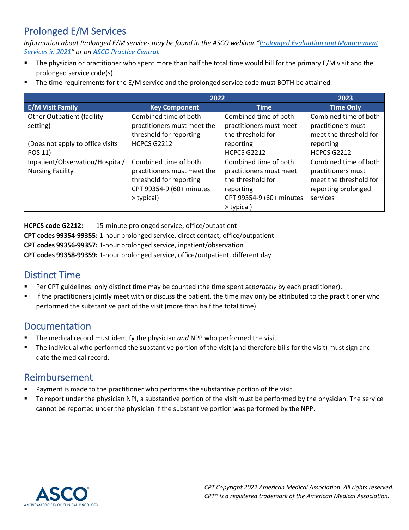# Prolonged E/M Services

*Information about Prolonged E/M services may be found in the ASCO webinar ["Prolonged Evaluation and Management](https://players.brightcove.net/14498944001/default_default/index.html?videoId=6246687559001)  [Services in 2021"](https://players.brightcove.net/14498944001/default_default/index.html?videoId=6246687559001) or on [ASCO Practice Central.](https://practice.asco.org/billing-coding-reporting/coding-reimbursement)*

- The physician or practitioner who spent more than half the total time would bill for the primary E/M visit and the prolonged service code(s).
- The time requirements for the E/M service and the prolonged service code must BOTH be attained.

|                                   | 2022                        | 2023                     |                        |
|-----------------------------------|-----------------------------|--------------------------|------------------------|
| <b>E/M Visit Family</b>           | <b>Key Component</b>        | <b>Time</b>              | <b>Time Only</b>       |
| <b>Other Outpatient (facility</b> | Combined time of both       | Combined time of both    | Combined time of both  |
| setting)                          | practitioners must meet the | practitioners must meet  | practitioners must     |
|                                   | threshold for reporting     | the threshold for        | meet the threshold for |
| (Does not apply to office visits  | HCPCS G2212                 | reporting                | reporting              |
| POS 11)                           |                             | <b>HCPCS G2212</b>       | HCPCS G2212            |
| Inpatient/Observation/Hospital/   | Combined time of both       | Combined time of both    | Combined time of both  |
| <b>Nursing Facility</b>           | practitioners must meet the | practitioners must meet  | practitioners must     |
|                                   | threshold for reporting     | the threshold for        | meet the threshold for |
|                                   | CPT 99354-9 (60+ minutes    | reporting                | reporting prolonged    |
|                                   | > typical)                  | CPT 99354-9 (60+ minutes | services               |
|                                   |                             | > typical)               |                        |

**HCPCS code G2212:** 15-minute prolonged service, office/outpatient **CPT codes 99354-99355:** 1-hour prolonged service, direct contact, office/outpatient **CPT codes 99356-99357:** 1-hour prolonged service, inpatient/observation **CPT codes 99358-99359:** 1-hour prolonged service, office/outpatient, different day

## Distinct Time

- Per CPT guidelines: only distinct time may be counted (the time spent *separately* by each practitioner).
- **If the practitioners jointly meet with or discuss the patient, the time may only be attributed to the practitioner who** performed the substantive part of the visit (more than half the total time).

## Documentation

- The medical record must identify the physician *and* NPP who performed the visit.
- The individual who performed the substantive portion of the visit (and therefore bills for the visit) must sign and date the medical record.

## Reimbursement

- Payment is made to the practitioner who performs the substantive portion of the visit.
- To report under the physician NPI, a substantive portion of the visit must be performed by the physician. The service cannot be reported under the physician if the substantive portion was performed by the NPP.

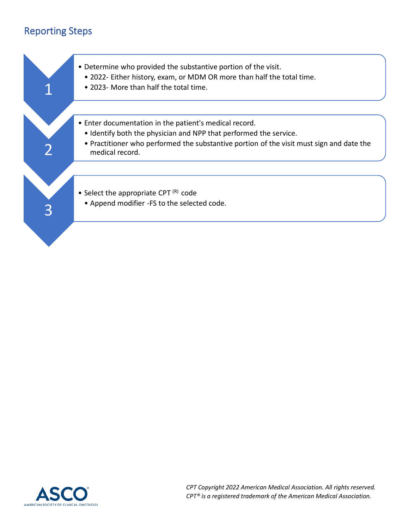# Reporting Steps



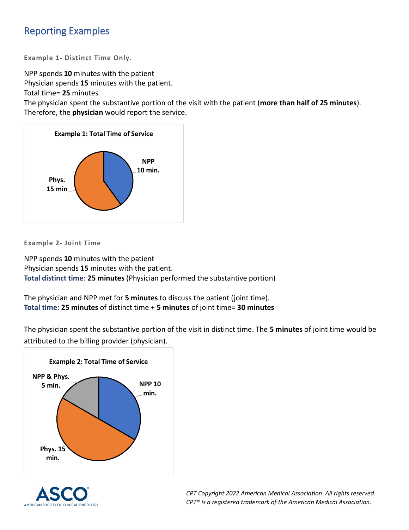# Reporting Examples

**Example 1- Distinct Time Only.**

NPP spends **10** minutes with the patient

Physician spends **15** minutes with the patient.

Total time= **25** minutes

The physician spent the substantive portion of the visit with the patient (**more than half of 25 minutes**). Therefore, the **physician** would report the service.



**Example 2- Joint Time**

NPP spends **10** minutes with the patient Physician spends **15** minutes with the patient. **Total distinct time**: **25 minutes** (Physician performed the substantive portion)

The physician and NPP met for **5 minutes** to discuss the patient (joint time). **Total time: 25 minutes** of distinct time + **5 minutes** of joint time= **30 minutes**

The physician spent the substantive portion of the visit in distinct time. The **5 minutes** of joint time would be attributed to the billing provider (physician).